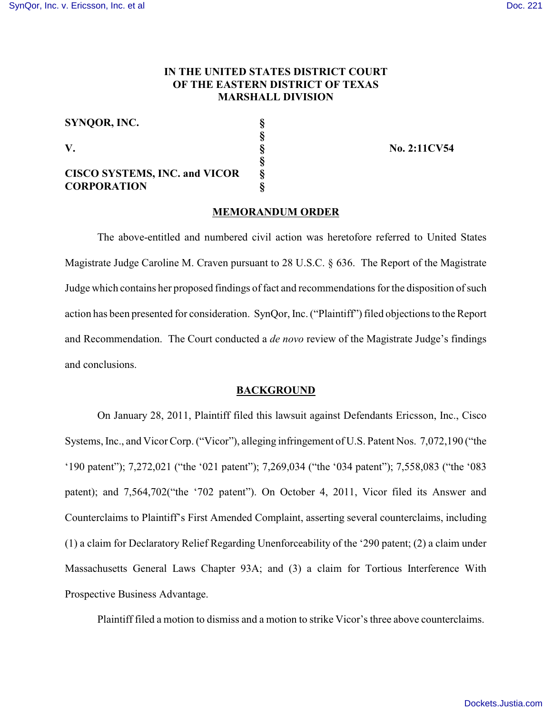# **IN THE UNITED STATES DISTRICT COURT OF THE EASTERN DISTRICT OF TEXAS MARSHALL DIVISION**

| SYNOOR, INC.                         |   |
|--------------------------------------|---|
|                                      |   |
| V.                                   |   |
|                                      |   |
| <b>CISCO SYSTEMS, INC. and VICOR</b> | 8 |
| <b>CORPORATION</b>                   |   |

**V. § No. 2:11CV54**

#### **MEMORANDUM ORDER**

The above-entitled and numbered civil action was heretofore referred to United States Magistrate Judge Caroline M. Craven pursuant to 28 U.S.C. § 636. The Report of the Magistrate Judge which contains her proposed findings of fact and recommendations for the disposition of such action has been presented for consideration. SynQor, Inc. ("Plaintiff") filed objections to the Report and Recommendation. The Court conducted a *de novo* review of the Magistrate Judge's findings and conclusions.

### **BACKGROUND**

On January 28, 2011, Plaintiff filed this lawsuit against Defendants Ericsson, Inc., Cisco Systems, Inc., and Vicor Corp. ("Vicor"), alleging infringement of U.S. Patent Nos. 7,072,190 ("the '190 patent"); 7,272,021 ("the '021 patent"); 7,269,034 ("the '034 patent"); 7,558,083 ("the '083 patent); and 7,564,702("the '702 patent"). On October 4, 2011, Vicor filed its Answer and Counterclaims to Plaintiff's First Amended Complaint, asserting several counterclaims, including (1) a claim for Declaratory Relief Regarding Unenforceability of the '290 patent; (2) a claim under Massachusetts General Laws Chapter 93A; and (3) a claim for Tortious Interference With Prospective Business Advantage.

Plaintiff filed a motion to dismiss and a motion to strike Vicor's three above counterclaims.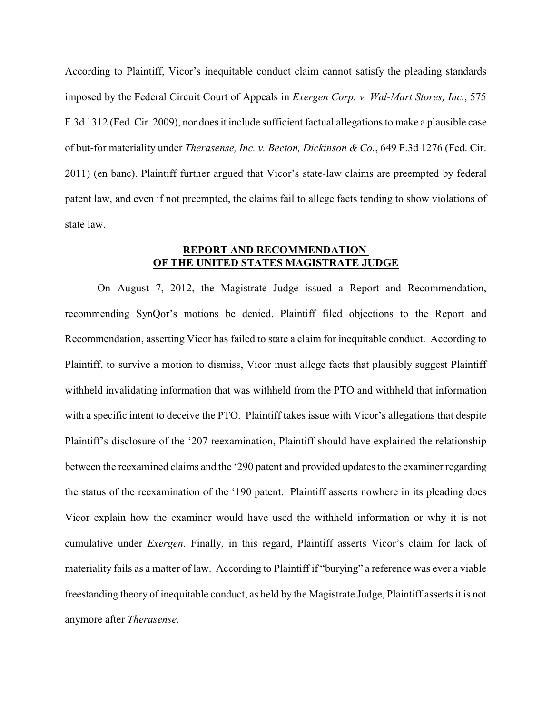According to Plaintiff, Vicor's inequitable conduct claim cannot satisfy the pleading standards imposed by the Federal Circuit Court of Appeals in *Exergen Corp. v. Wal-Mart Stores, Inc.*, 575 F.3d 1312 (Fed. Cir. 2009), nor does it include sufficient factual allegations to make a plausible case of but-for materiality under *Therasense, Inc. v. Becton, Dickinson & Co.*, 649 F.3d 1276 (Fed. Cir. 2011) (en banc). Plaintiff further argued that Vicor's state-law claims are preempted by federal patent law, and even if not preempted, the claims fail to allege facts tending to show violations of state law.

## **REPORT AND RECOMMENDATION OF THE UNITED STATES MAGISTRATE JUDGE**

On August 7, 2012, the Magistrate Judge issued a Report and Recommendation, recommending SynQor's motions be denied. Plaintiff filed objections to the Report and Recommendation, asserting Vicor has failed to state a claim for inequitable conduct. According to Plaintiff, to survive a motion to dismiss, Vicor must allege facts that plausibly suggest Plaintiff withheld invalidating information that was withheld from the PTO and withheld that information with a specific intent to deceive the PTO. Plaintiff takes issue with Vicor's allegations that despite Plaintiff's disclosure of the '207 reexamination, Plaintiff should have explained the relationship between the reexamined claims and the '290 patent and provided updates to the examiner regarding the status of the reexamination of the '190 patent. Plaintiff asserts nowhere in its pleading does Vicor explain how the examiner would have used the withheld information or why it is not cumulative under *Exergen*. Finally, in this regard, Plaintiff asserts Vicor's claim for lack of materiality fails as a matter of law. According to Plaintiff if "burying" a reference was ever a viable freestanding theory of inequitable conduct, as held by the Magistrate Judge, Plaintiff asserts it is not anymore after *Therasense*.